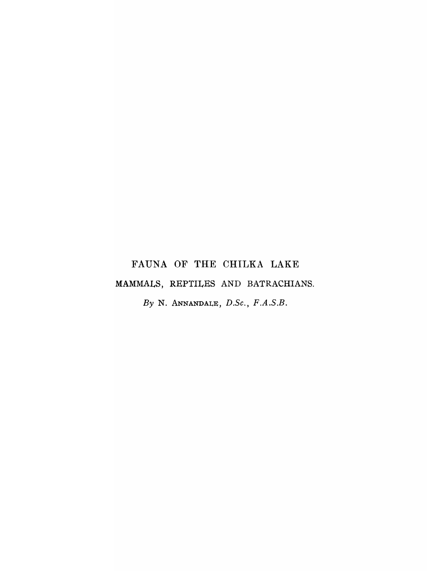# FAUNA OF THE CHILKA LAKE

# MAMMALS, REPTILES AND BATRACHIANS.

*By* N. ANNANDALE, *D.Se., F.A.S.B.*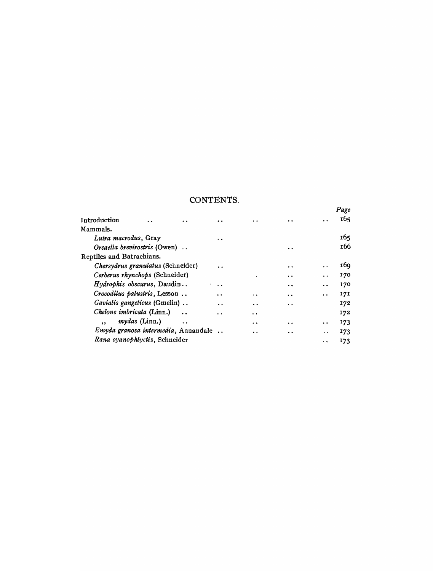# CONTENTS.

|                                    |                      |                                     |                      |                                          |           |                      | Page       |
|------------------------------------|----------------------|-------------------------------------|----------------------|------------------------------------------|-----------|----------------------|------------|
| Introduction                       | . .                  | $\ddot{\phantom{a}}$                |                      | . .                                      | . .       | . .                  | 165        |
| Mammals.                           |                      |                                     |                      |                                          |           |                      |            |
| Lutra macrodus, Gray               |                      |                                     |                      |                                          |           |                      | 165        |
| Orcaella brevirostris (Owen)       |                      |                                     | $\cdot$ .            |                                          | 166       |                      |            |
| Reptiles and Batrachians.          |                      |                                     |                      |                                          |           |                      |            |
| Chersydrus granulatus (Schneider)  |                      |                                     | . .                  |                                          | $\cdot$ . | . .                  | <b>169</b> |
| Cerberus rhynchops (Schneider)     |                      |                                     |                      | ٠                                        | $\cdot$ . | $\bullet$ $\bullet$  | 170        |
| <i>Hydrophis obscurus</i> , Daudin |                      |                                     | $\ddot{\phantom{a}}$ |                                          | . .       | $\ddot{\phantom{a}}$ | 170        |
| Crocodilus palustris, Lesson       |                      |                                     | $\ddot{\phantom{a}}$ | $\ddot{\phantom{a}}$                     | . .       | $\ddot{\phantom{a}}$ | 17I        |
| Gavialis gangeticus (Gmelin)       |                      |                                     | $\ddot{\phantom{0}}$ | $\ddot{\phantom{a}}$                     | . .       |                      | 172        |
| Chelone imbricata (Linn.)          |                      |                                     | . .                  | $\bullet\hspace{1mm}\bullet\hspace{1mm}$ |           |                      | 172        |
| $\overline{\mathbf{z}}$            | <i>mydas</i> (Linn.) | $\ddot{\phantom{a}}$ .              |                      | $\ddot{\phantom{a}}$                     | . .       | $\ddot{\phantom{1}}$ | 173        |
|                                    |                      | Emyda granosa intermedia, Annandale |                      | . .                                      |           | $\ddot{\phantom{0}}$ | 173        |
| Rana cyanophlyctis, Schneider      |                      |                                     |                      | . .                                      | 173       |                      |            |
|                                    |                      |                                     |                      |                                          |           |                      |            |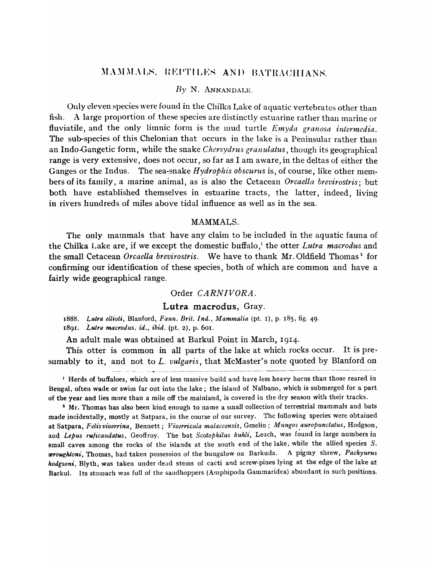# MAMMALS, REPTILES AND BATRACHIANS.

# *By* N. ANNANDALE.

Only eleven species were found in the Chilka Lake of aquatic vertebrates other than fish. A large proportion of these species are distinctly estuarine rather than marine or fluviatile, and the only limnic form is the mud turtle *Emyda granosa intermedia*. The sub-species of this Chelonian that occurs in the lake is a Peninsular rather than an Indo-Gangetic fonn, while the snake *Chersydrus granulatus,* though its geographical range is very extensive, does not occur, so far as I am aware, in the deltas of either the Ganges or the Indus. The sea-snake *Hydrophis obscurus* is, of course, like other members of its family, a marine animal, as is also the Cetacean *Orcaella brevirostris*; but both have established themselves in estuarine tracts, the latter, indeed, living in rivers hundreds of miles above tidal influence as well as in the sea.

#### MAMMALS.

The only mammals that have any claim to be included in the aquatic fauna of the Chilka Lake are, if we except the domestic buffalo,<sup>1</sup> the otter *Lutra macrodus* and the small Cetacean *Orcaella brevirostris*. We have to thank Mr. Oldfield Thomas<sup>2</sup> for confirming our identification of these species, both of which are common and have a fairly wide geographical range.

#### Order *CARNIVORA.*

#### Lutra macrodus, Gray.

*1888. Lutra ellioti,* Blanford, *Faun. Brit. Ind., Mammalia* (pt. I), p. 185, fig. 49. 189I. *Lutra macrodlls. id., ibid.* (pt. 2), p. 601.

An adult male was obtained at Barkul Point in March, 1914.

This otter is common in all parts of the lake at which rocks occur. It is pre· sumably to it, and not to *L. vulgaris*, that McMaster's note quoted by Blanford on

<sup>1</sup> Herds of buffaloes, which are of less massive build and have less heavy horns than those reared in Bengal, often wade or swim far out into the lake; the island of Nalbano, which is submerged for a part of the year and lies more than a mile off the mainland, is covered in the dry season with their tracks.

<sup>2</sup> Mr. Thomas has also been kind enough to name a small collection of terrestrial mammals and bats made incidentally, mostly at Satpara, in the course of our survey. The following species were obtained at Satpara, *Felisviverrina,* Bennett; *Viverricula mataccensis,* Gmelin; *Mungos.auropunctatus,* Hodgson, and *Lepus rujicaudatus,* Geoffroy. The bat *Scotophilus kuhli,* Leach, was found in large numbers in small caves among the rocks of the islands at the south end of the lake, while the allied species *S.*  wroughtoni, Thomas, had taken possession of the bungalow on Barkuda. A pigmy shrew, Pachyurus *hodgsoni,* Blyth, was taken under dead stems of cacti and screw-pines lying at the edge of the lake at Barkul. Its stomach was full of the saudhoppers (Amphipoda Gammaridea) abundant in such positions.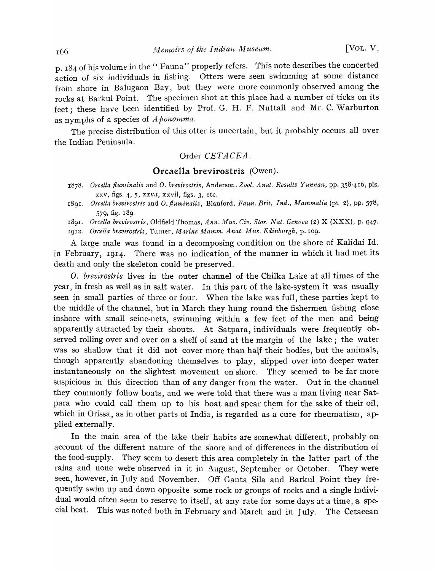p. 184 of his volume in the" Fauna" properly refers. This note describes the concerted action of six individuals in fishing. Otters were seen swimming at some distance from shore in Balugaon Bay, but they were more commonly observed among the rocks at Barkul Point. The specimen shot at this place had a number of ticks on its feet; these have been identified by Prof. G. H. F. Nuttall and Mr. C. Warburton as nymphs of a species of *Aponomma.* 

The precise distribution of this otter is uncertain, but it probably occurs all over the Indian Peninsula.

# Order *CETACEA*.

#### **Orcaella brevirostris** (Owen).

- *1878. OrceUa flum-inalis* and O. *brevirostris,* Anderson, *Zool. Anat. Results Yunnan, pp.* 358-416, pIs. xxv, figs. 4, 5, xxva, xxvii, figs. 3, etc.
- *1891. OreeUa brevirostris* and O. *fluminalis,* Blanford, *Faun. Brit. Ind., Mammalia* (pt 2), pp. 578, 579, fig. 189.

189I. *Oreella brevirostris,* Oldfield Thomas, *Ann. Mus. Civ. Stor. Nat. Genova* (2) X (XXX), p. 947· 19I2. *Ore ella brevirostris,* Turner, *Marine Mamm. Anat. Mus. Edinburgh,* p. 109·

A large male was found in a decomposing condition on the shore of Kalidai Id. in February, 1914. There was no indication of the manner in which it had met its death and only the skeleton could be preserved.

O. *brevirostris* lives in the outer channel of the Chilka Lake at all times of the year, in fresh as well as in salt water. In this part of the lake-system it was usually seen in small parties of three or four. When the lake was full, these parties kept to the middle of the channel, but in March they hung round the fishermen fishing close inshore with small seine-nets, swimming within a few feet of the men and being apparently attracted by their shouts. At Satpara, individuals were frequently observed rolling over and over on a shelf of sand at the margin of the lake; the water was so shallow that it did not cover more than half their bodies, but the animals, though apparently abandoning themselves to play, slipped over into deeper water instantaneously on the slightest movement on shore. They seemed to be far more suspicious in this direction than of any danger from the water. Out in the channel they commonly follow boats, and we were told that there was a man living near Satpara who could call them up to his boat and spear them for the sake of their oil, which in Orissa, as in other parts of India, is regarded as a cure for rheumatism, applied externally.

In the main area of the lake their habits are somewhat different, probably on account of the different nature of the shore and of differences in the distribution of the food-supply. They seem to desert this area completely in the latter part of the rains and none were observed in it in August, September or October. They were seen, however, in July and November. Off Ganta Sila and Barkul Point they frequently swim up and down opposite some rock or groups of rocks and a single individual would often seem to reserve to itself, at any rate for some days at a time, a special beat. This was noted both in February and March and in July. The Cetacean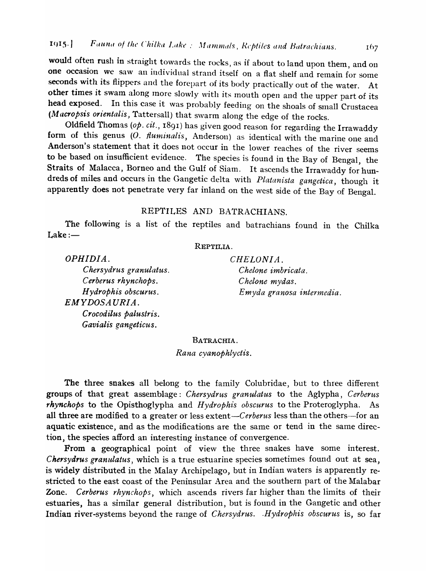would often rush in straight towards the rocks, as if about to land upon them, and on one occasion we saw an individual strand itself on a flat shelf and remain for some seconds with its flippers and the forepart of its body practically out of the water. At other times it swam along more slowly with its mouth open and the upper part of its head exposed. In this case it was probably feeding on the shoals of small Crustacea (Macropsis orientalis, Tattersall) that swarm along the edge of the rocks.

Oldfield Thomas *(op. cit.,* 189<sup>1</sup> ) has given good reason for regarding the Irrawaddy form of this genus (O. *fluminalis*, Anderson) as identical with the marine one and Anderson's statement that it does not occur in the lower reaches of the river seems to be based on insufficient evidence. The species is found in the Bay of Bengal, the Straits of Malacca, Borneo and the Gulf of Siam. It ascends the Irrawaddy for hundreds of miles and occurs in the Gangetic delta with *Platanista gangetica,* though it apparently does not penetrate very far inland on the west side of the Bay of Bengal.

# REPTILES AND BATRACHIANS.

The following is a list of the reptiles and batrachians found in the Chilka  $Lake:$ 

# REPTILIA.

*OPHIDIA.*  C *hersydrus granulatus. Cerberus rhynchops. H ydrophis obscurus.*   $EMYDOSAURIA.$ *Crocodilus palustris. Gavialis gangeticus.* 

*CHELONIA. Chelone imbricata.*  C *helone mydas. Emyda granosa intermedia.*  167

#### BATRACHIA.

*Rana cyanophlyctis.* 

The three snakes all belong to the family Colubridae, but to three different groups of that great assemblage: *Chersydrus granulatus* to the Aglypha, *Cerberus rhynchops* to the Opisthoglypha and *H ydrophis obscurus* to the Proteroglypha. As all three are modified to a greater or less extent-Cerberus less than the others-for an aquatic existence, and as the modifications are the same or tend in the same direction, the species afford an interesting instance of convergence.

From a geographical point of view the three snakes have some interest. *Chersydrus granldatus,* which is a true estuarine species sometimes found out at sea, is widely distributed in the Malay Archipelago, but in Indian waters is apparently restricted to the east coast of the Peninsular Area and the southern part of the Malabar Zone. *Cerberus rhynchops*, which ascends rivers far higher than the limits of their estuaries, has a similar general distribution, but is found in the Gangetic and other Indian river-systems beyond the range of *Chersydrus. .Hydrophis obscurus* is, so far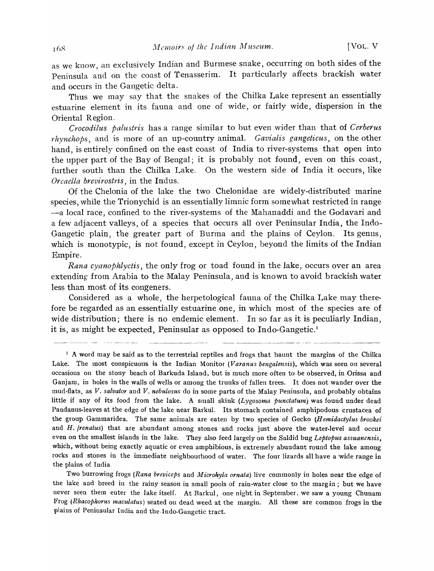as we know, an exclusively Indian and Burmese snake, occurring on both sides of the Peninsula and on the coast of Tenasserim. It particularly affects brackish water and occurs in the Gangetic delta.

Thus we may say that the snakes of the Chilka Lake represent an essentially estuarine element in its fauna and one of wide, or fairly wide, dispersion in the Oriental Region.

*Crocodilus palustris* has a range similar to but even wider than that of *Cerberus rhynchops,* and is more of an up-country animal. *Cavialis gangeticus,* on the other hand, is entirely confined on the east coast of India to river-systems that open into the upper part of the Bay of Bengal; it is probably not found, even on this coast, further south than the Chilka Lake. On the western side of India it occurs, like *Orcaella brevirostris,* in the Indus.

Of the Chelonia of the lake the two Chelonidae are widely-distributed marine species, while the Trionychid is an essentially limnic form somewhat restricted in range -a local race, confined to the river-systems of the Mahanaddi and the Godavari and a few adjacent valleys, of a species that occurs all over Peninsular India, the Indo-Gangetic plain, the greater part of Burma and the plains of Ceylon. Its genus, which is monotypic, is not found, except in Ceylon, beyond the limits of the Indian Empire.

*Rana cyanophlyctis,* the only frog or toad found in the lake, occurs over an area extending from Arabia to the Malay Peninsula, and is known to avoid brackish water less than most of its congeners.

Considered as a whole, the herpetological fauna of the Chilka Lake may therefore be regarded as an essentially estuarine one, in which most of the species are of wide distribution; there is no endemic element. In so far as it is peculiarly Indian, it is, as might be expected, Peninsular as opposed to Indo-Gangetic.<sup>1</sup>

Two burrowing frogs *(Rana breviceps* and *Microhyla ornata)* live commonly in holes near the edge of the lake and breed in the rainy season in small pools of rain-water close to the margin; but we have never seen them enter the lake itself. At Barkul, one night in September, we saw a young Chunam Frog *(Rhacophorus maculatus)* seated on dead weed at the margin. All these are common frogs in the plains of Peninsular India and the.lndo-Gangetic tract.

<sup>&</sup>lt;sup>1</sup> A word may be said as to the terrestrial reptiles and frogs that haunt the margins of the Chilka Lake. The most conspicuous is the Indian Monitor *(Varanus bengalensis).,* which was seen on several occasions on the stony beach of Barkuda Island, but is much more often to be observed, in Orissa and Ganjam, in holes in the walls of wells or among the trunks of fallen trees. It does not wander over the mud-flats, as *V. salvator* and *V. nebulosus* do in some parts of the Malay Peninsula, and probably obtains little if any of its food from the lake. A small skink *(Lygosoma punctatum)* was found under dead Pandanus-leaves at the edge of the lake near Barkul. Its stomach contained amphipodous crustacea of the group Gammaridea. The same animals are eaten by two species of Gecko *(H emidactylus brookei*  and *H. frenatus*) that are abundant among stones and rocks just above the water-level and occur even on the smallest islands in the lake. They also feed largely on the Saldid bug *Leptopus assuanensis*, which, without being exactly aquatic or even amphibious, is extremely abundant round the lake among rocks and stones in the immediate neighbourhood of water. The four lizards all have a wide range in the plains of India.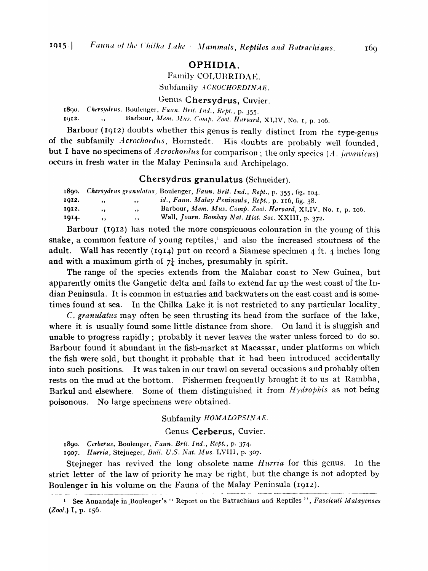# OPHIDIA.

Family COLUBRIDAE.

Subfamily *ACROCHORDINAE*.

Genus Chersydrus, Cuvier.

1890. *Chersydrus, Boulenger, Faun. Brit. Ind., Rept., p. 355.* 1912. ... Harbour, *Mem. Mus. Comp. Zool. Harvard*, XLIV, No. 1, p. 106.

Barbour (1912) doubts whether this genus is really distinct from the type-genus of the subfamily *Acrochordus*, Hornstedt. His doubts are probably well founded, but I have no specimens of *Acrochordus* for comparison; the only species (A. javanicus) occurs in fresh water in the Malay Peninsula and Archipelago.

# Chersydrus granulatus (Schneider).

|       |              |           | 1890. Chersydrus granulatus, Boulenger, Faun. Brit. Ind., Rept., p. 355, fig. 104. |
|-------|--------------|-----------|------------------------------------------------------------------------------------|
| 1012. | $, \, \,$    | $\cdots$  | id., Faun. Malay Peninsula, Rept., p. 116, fig. 38.                                |
| 1012. | $\mathbf{v}$ | $, \, \,$ | Barbour, Mem. Mus. Comp. Zool. Harvard, XLIV, No. 1, p. 106.                       |
| 1014. | $\cdots$     | $, \, \,$ | Wall, Journ. Bombay Nat. Hist. Soc. XXIII, p. 372.                                 |

Barbour (1912) has noted the more conspicuous colouration in the young of this snake, a common feature of young reptiles,<sup>1</sup> and also the increased stoutness of the adult. Wall has recently (1914) put on record a Siamese specimen 4 ft. 4 inches long and with a maximum girth of  $7\frac{1}{4}$  inches, presumably in spirit.

The range of the species extends from the Malabar coast to New Guinea, but apparently omits the Gangetic delta and fails to extend far up the west coast of the Indian Peninsula. It is common in estuaries and backwaters on the east coast and is sometimes found at sea. In the Chilka Lake it is not restricted to any particular locality.

C. *granulatlts* may often be seen thrusting its head from the surface of the lake, where it is usually found some little distance from shore. On land it is sluggish and unable to progress rapidly; probably it never leaves the water unless forced to do so. Barbour found it abundant in the fish-market at Macassar, under platforms on which the fish were sold, but thought it probable that it had been introduced accidentally into such positions. It was taken in our trawl on several occasions and probably often rests on the mud at the bottom. Fishermen frequently brought it to us at Rambha, Barkul and elsewhere. Some of them distinguished it from *H ydrophis* as not being poisonous. No large specimens were obtained.

#### Subfamily  $HOMALOPSINAE$ .

## Genus Cerberus, Cuvier.

1890. Cerberus, Boulenger, *Faun. Brit. Ind., Rept.*, p. 374.

1907. Hurria, Stejneger, *Bull. U.S. Nat. Mus. LVIII*, p. 307.

Stejneger has revived the long obsolete name *Hurria* for this genus. In the strict letter of the law of priority he may be right, but the change is not adopted by Boulenger in his volume on the Fauna of the Malay Peninsula (1912).

<sup>&</sup>lt;sup>1</sup> See Annandale in Boulenger's " Report on the Batrachians and Reptiles", *Fasciculi Malayenses (Zool.)* I, p. 156.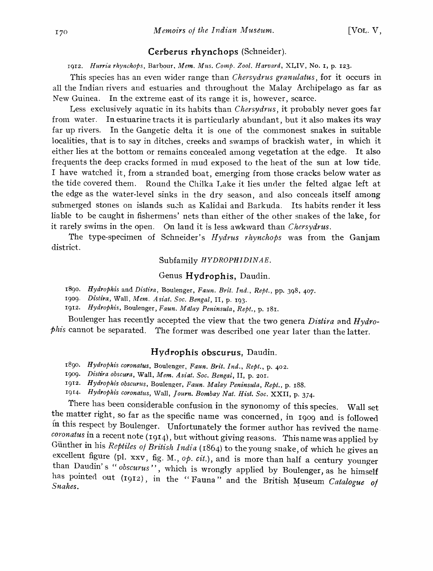# Cerberus rhynchops (Schneider).

1912. *Hurria rhynchops, Barbour, Mem. Mus. Comp. Zool. Harvard, XLIV, No. 1, p. 123.* 

This species has an even wider range than *Chersydrus granulatus,* for it occurs in all the Indian rivers and estuaries and throughout the Malay Archipelago as far as New Guinea. In the extreme east of its range it is, however, scarce.

Less exclusively aquatic in its habits than *Chersydrus,* it probably never goes far from water. In estuarine tracts it is particularly abundant, but it also makes its way far up rivers. In the Gangetic delta it is one of the commonest snakes in suitable localities, that is to say in ditches, creeks and swamps of brackish water, in which it either lies at the bottom or remains concealed among vegetation at the edge. It also frequents the deep cracks' formed in mud exposed to the heat of the sun at low tide. I have watched it, from a stranded boat, emerging from those cracks below water as the tide covered them. Round the Chilka Lake it lies under the felted algae left at the edge as the water-level sinks in the dry season, and also conceals itself among submerged stones on islands such as Kalidai and Barkuda. Its habits render it less liable to be caught in fishermens' nets than either of the other snakes of the lake, for it rarely swims in the open. On land it is less awkward than *Chersydrus.* 

The type-specimen of Schneider's *Hydrus rhynchops* was from the Ganjam district.

#### Subfamily *HYDROPHIDINAE.*

# Genus Hydrophis, Daudin.

1890. Hydrophis and *Distira*, Boulenger, *Faun. Brit. Ind.*, *Rept.*, pp. 398, 407.

*19*<sup>0</sup> *9. Distira,* Wall, *Mem. Asiat. Soc. Bengal,* II, p. 193.

*1912. Hydrophis,* Boulenger, *Faun. Malay Peninsula, Rept.,* p. 181.

Boulenger has recently accepted the view that the two genera *Distira* and *Hydrophis* cannot be separated. The former was described one year later than the latter.

#### Hydrophis obscurus, Daudin.

*1890. HydroPhis coronatus,* Boulenger, *Faun. Brit. Ind., Rept.,* p. 402.

*1909· Distira obscura,* Wall, *Mem. Asiat. Soc. Bengal,* II, p. 201.

*1912. Hydrophis obscurus,* Boulenger, *Faun. Malay Peninsula, Rept.,* p. 188.

*19[4· Hydrophis coronatus,* Wall, *Journ. Bombay Nat. Hist. Soc.* XXII, p. *3i4.* 

There has been considerable confusion in the synonomy of this species. Wall set the matter right, so far as the specific name was concerned, in 1909 and is followed in this respect by Boulenger. Unfortunately the former author has revived the name. *coronatus* in a recent note (1914), but without giving reasons. This name was applied by Günther in his *Reptiles of British India* (1864) to the young snake, of which he gives an excellent figure (pl. xxv, fig. M., *op. cit.*), and is more than half a century younger than Daudin's "obscurus", which is wrongly applied by Boulenger, as he himself has pointed out (1912), in the "Fauna" and the British Museum *Catalogue of* Snakes.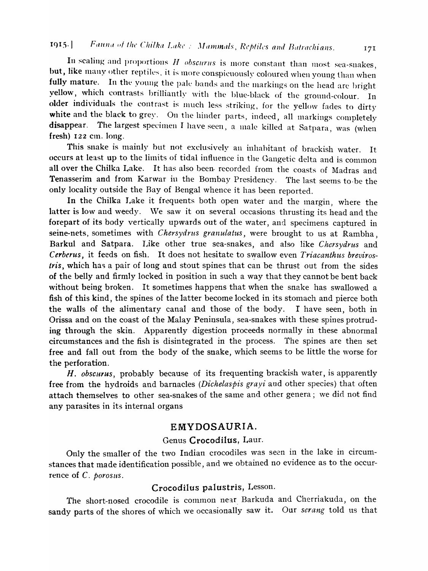# 1915.] Fauna of the Chilka Lake: *Mammals, Reptiles and Batrachians.* 171

In scaling and proportions  $H$  obscurus is more constant than most sea-snakes, but, like many other reptiles, it is more conspicuously coloured when young than when fully mature. In the young the pale bands and the markings on the head are bright vellow, which contrasts brilliantly with the blue-black of the ground-colour. In older individuals the contrast is much less striking, for the yellow fades to dirty white and the black to grey. On the hinder parts, indeed, all markings completely disappear. The largest specimen I have seen, a male killed at Satpara, was (when fresh)  $122$  cm. long.

This snake is mainly but not exclusively an inhabitant of brackish water. It occurs at least up to the limits of tidal influence in the Gangetic delta and is common all over the Chilka Lake. It has also been. recorded from the coasts of Madras and Tenasserim and from Karwar in the Bombay Presidency. The last seems to be the only locality outside the Bay of Bengal whence it has been reported.

In the Chilka Lake it frequents both open water and the margin, where the latter is low and weedy. We saw it on several occasions thrusting its head and the forepart of its body vertically upwards out of the water, and specimens captured in seine-nets, sometimes with *Chersydrus granulatus*, were brought to us at Rambha, Barkul and Satpara. Like other trne sea-snakes, and also like *Chersydrus* and *Cerberus,* it feeds on fish. It does not hesitate to swallow even *Triacanthus breviros-Iris,* which has a pair of long and stout spines that can be thrust out from the sides of the belly and firmly locked in position in such a way that they cannot be bent back without being broken. It sometimes happens that when the snake has swallowed a fish of this kind, the spines of the latter become locked in its stomach and pierce both the walls of the alimentary canal and those of the body.  $\Gamma$  have seen, both in Orissa and on the coast of the Malay Peninsula, sea-snakes with these spines protruding through the skin. Apparently digestion proceeds normally in these abnormal circumstances and the fish is disintegrated in the process. The spines are then set free and fall out from the body of the snake, which seems to be little the worse for the perforation.

H. obscurus, probably because of its frequenting brackish water, is apparently free from the hydroids and barnacles *(Dichelaspis grayi* and other species) that often attach themselves to other sea-snakes of the same and other genera; we did not find any parasites in its internal organs

# EMYDOSAURIA.

# Genus Crocodilus, Laur.

Only the smaller of the two Indian crocodiles was seen in the lake in circumstances that made identification possible, and we obtained no evidence as to the occurrence of C. *porosus*.

# Crocodilus palustris, Lesson.

The short-nosed crocodile is common near Barkuda and Cherriakuda, on the sandy parts of the shores of which \ve occasionally saw it. Our *serang* told us that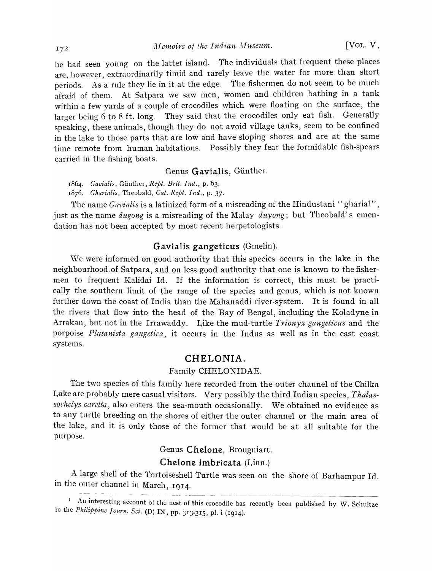he had seen young on the latter island. The individuals that frequent these places are, however, extraordinarily timid and rarely leave the water for more than short periods. As a rule they lie in it at the edge. The fishermen do not seem to be much afraid of them. At Satpara we saw men, women and children bathing in a tank within a few yards of a couple of crocodiles which were floating on the surface, the larger being 6 to 8 ft. long. They said that the crocodiles only eat fish. Generally speaking, these animals, though they do not a void village tanks, seem to be confined in the lake to those parts that are low and have sloping shores and are at the same time remote from human habitations. Possibly they fear the formidable fish-spears carried in the fishing boats.

## Genus Gavialis, Günther.

*1864. Cavialis,* Gunther, *Rept. Brit. Ind.,* p. 63. 1876. *Charialis,* Theobald, *Cat. Rept. Ind.,* p. 37.

The name *Gavialis* is a latinized form of a misreading of the Hindustani " gharial", just as the name *dugong* is a misreading of the Malay *duyong*; but Theobald's emendation has not been accepted by most recent herpetologists.

# Gavialis gangeticus (Gmelin).

We were informed on good authority that this species occurs in the lake in the neighbourhood.of Satpara, and on less good authority that one is known to the fishermen to frequent Kalidai Id. If the information is correct, this must be practically the southern limit of the range of the species and genus, which is not known further down the coast of India than the Mahanaddi river-system. It is found in all the rivers that flow into the head of the Bay of Bengal, including the Koladyne in Arrakan, but not in the Irrawaddy. Like the mud-turtle *Trionyx gangeticus* and the porpoise *Platanista gangetica,* it occurs in the Indus as well as in the east coast systems.

# CHELONIA.

#### Family CHELONIDAE.

The two species of this family here recorded from the outer channel of the Chilka Lake are probably mere casual visitors. Very possibly the third Indian species, *Thalassochelys caretta,* also enters the sea-mouth occasionally. We obtained no evidence as to any turtle breeding on the shores of either the outer channel or the main area of the lake, and it is only those of the former that would be at all suitable for the purpose.

Genus Chelone, Brougniart.

# Chelone imbricata (Linn.)

A large shell of the Tortoiseshell Turtle was seen on the shore of Barhampur Id. in the outer channel in March, 1914.

 $1$  An interesting account of the nest of this crocodile has recently been published by W. Schultze in the *Philippine Journ. Sci.* (D) IX, pp. 313-315, pl. i (1914).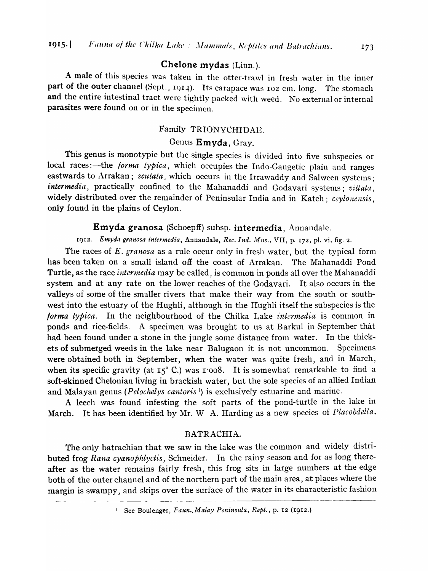# Chelone mydas (Linn.).

A male of this species was taken in the otter-trawl in fresh water in the inner part of the outer channel (Sept., 1914). Its carapace was 102 cm. long. The stomach and the entire intestinal tract were tightly packed with weed. No external or internal parasites were found on or in the specimen.

# Family TRIONYCHIDAE.

# Genus Emyda, Gray.

This genus is monotypic but the single species is divided into five subspecies or local races:-the *forma typica*, which occupies the Indo-Gangetic plain and ranges eastwards to Arrakan; *scutata*, which occurs in the Irrawaddy and Salween systems; *intermedia,* practically confined to the Mahanaddi and Godavari systems; *vittata,*  widely distributed over the remainder of Peninsular India and in Katch; *ceylonensis,*  only found in the plains of Ceylon.

# Emyda granosa (Schoepff) subsp. intermedia, Annandale.

1912. Emyda granosa intermedia, Annandale, *Rec. Ind. Mus.*, VII, p. 172, pl. vi, fig. 2.

The races of *E. granosa* as a rule occur only in fresh water, but the typical form has been taken on a small island off the coast of Arrakan. The Mahanaddi Pond Turtle, as the race *intermedia* may be called, is common in ponds all over the Mahanaddi system and at any rate on the lower reaches of the Godavari. It also occurs in the valleys of some of the smaller rivers that make their way from the south or south west into the estuary of the Hughli, although in the Hughli itself the subspecies is the *forma typica.* In the neighbourhood of the Chilka Lake *intermedia* is common in ponds and rice-fields. A specimen was brought to us at Barkul in Septenlber that had been found under a stone in the jungle some distance from water. In the thickets of submerged weeds in the lake near Balugaon it is not uncommon. Specimens were obtained both in September, when the water was quite fresh, and in March, when its specific gravity (at  $I_5^{\circ}$  C.) was 1 '008. It is somewhat remarkable to find a soft-skinned Chelonian living in brackish water, but the sole species of an allied Indian and Malayan genus *(Pelochelys cantoris* l) is exclusively estuarine and marine.

A leech was found infesting the soft parts of the pond-turtle in the lake in March. It has been identified by Mr. W A. Harding as a new species of *Placobdella.* 

# BATRACHIA.

The only batrachian that we saw in the lake was the common and widely distributed frog *Rana cyanophlyctis,* Schneider. In the rainy season and for as long thereafter as the water remains fairly fresh, this frog sits in large numbers at the edge both of the outer channel and of the northern part of the main area, at places where the margin is swampy, and skips over the surface of the water in its characteristic fashion

<sup>1</sup> See Boulenger, *Faun.*, *Malay Peninsula*, *Rept.*, p. 12 (1912.)